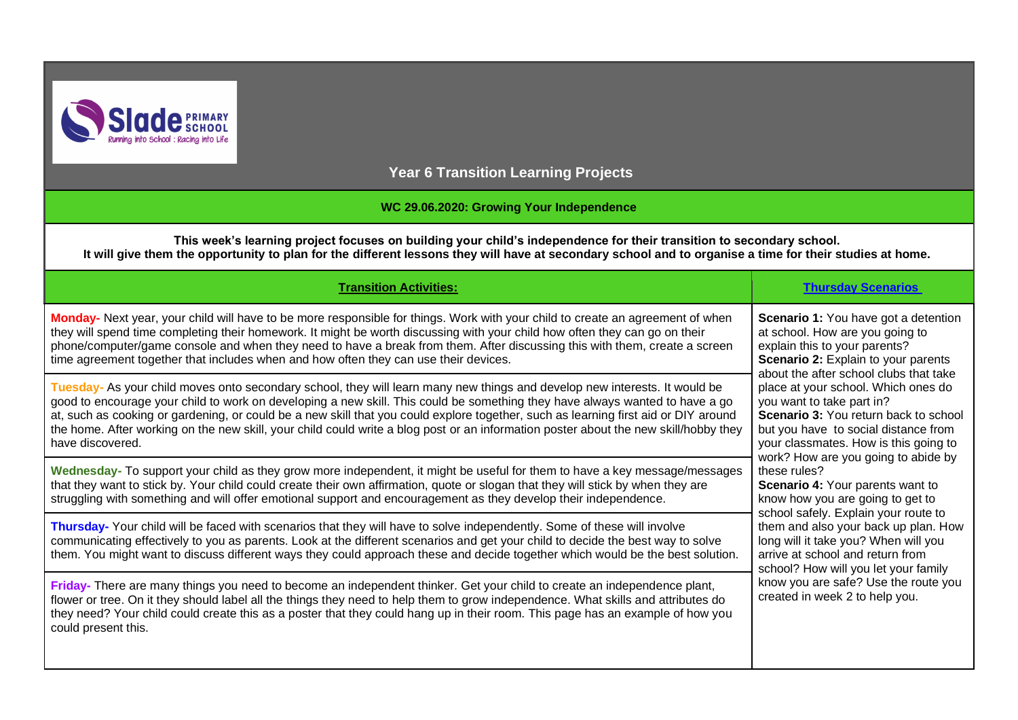

**Year 6 Transition Learning Projects**

### **WC 29.06.2020: Growing Your Independence**

**This week's learning project focuses on building your child's independence for their transition to secondary school. It will give them the opportunity to plan for the different lessons they will have at secondary school and to organise a time for their studies at home.**

| <b>Transition Activities:</b>                                                                                                                                                                                                                                                                                                                                                                                                                                                                                                                                 | <b>Thursday Scenarios</b>                                                                                                                                                                                                                                                                                                                                                                                                                                                                                                                                                                                                                                                                                                                                                                                                 |
|---------------------------------------------------------------------------------------------------------------------------------------------------------------------------------------------------------------------------------------------------------------------------------------------------------------------------------------------------------------------------------------------------------------------------------------------------------------------------------------------------------------------------------------------------------------|---------------------------------------------------------------------------------------------------------------------------------------------------------------------------------------------------------------------------------------------------------------------------------------------------------------------------------------------------------------------------------------------------------------------------------------------------------------------------------------------------------------------------------------------------------------------------------------------------------------------------------------------------------------------------------------------------------------------------------------------------------------------------------------------------------------------------|
| Monday- Next year, your child will have to be more responsible for things. Work with your child to create an agreement of when<br>they will spend time completing their homework. It might be worth discussing with your child how often they can go on their<br>phone/computer/game console and when they need to have a break from them. After discussing this with them, create a screen<br>time agreement together that includes when and how often they can use their devices.                                                                           | <b>Scenario 1:</b> You have got a detention<br>at school. How are you going to<br>explain this to your parents?<br><b>Scenario 2: Explain to your parents</b><br>about the after school clubs that take<br>place at your school. Which ones do<br>you want to take part in?<br>Scenario 3: You return back to school<br>but you have to social distance from<br>your classmates. How is this going to<br>work? How are you going to abide by<br>these rules?<br><b>Scenario 4: Your parents want to</b><br>know how you are going to get to<br>school safely. Explain your route to<br>them and also your back up plan. How<br>long will it take you? When will you<br>arrive at school and return from<br>school? How will you let your family<br>know you are safe? Use the route you<br>created in week 2 to help you. |
| Tuesday- As your child moves onto secondary school, they will learn many new things and develop new interests. It would be<br>good to encourage your child to work on developing a new skill. This could be something they have always wanted to have a go<br>at, such as cooking or gardening, or could be a new skill that you could explore together, such as learning first aid or DIY around<br>the home. After working on the new skill, your child could write a blog post or an information poster about the new skill/hobby they<br>have discovered. |                                                                                                                                                                                                                                                                                                                                                                                                                                                                                                                                                                                                                                                                                                                                                                                                                           |
| Wednesday- To support your child as they grow more independent, it might be useful for them to have a key message/messages<br>that they want to stick by. Your child could create their own affirmation, quote or slogan that they will stick by when they are<br>struggling with something and will offer emotional support and encouragement as they develop their independence.                                                                                                                                                                            |                                                                                                                                                                                                                                                                                                                                                                                                                                                                                                                                                                                                                                                                                                                                                                                                                           |
| Thursday- Your child will be faced with scenarios that they will have to solve independently. Some of these will involve<br>communicating effectively to you as parents. Look at the different scenarios and get your child to decide the best way to solve<br>them. You might want to discuss different ways they could approach these and decide together which would be the best solution.                                                                                                                                                                 |                                                                                                                                                                                                                                                                                                                                                                                                                                                                                                                                                                                                                                                                                                                                                                                                                           |
| Friday- There are many things you need to become an independent thinker. Get your child to create an independence plant,<br>flower or tree. On it they should label all the things they need to help them to grow independence. What skills and attributes do<br>they need? Your child could create this as a poster that they could hang up in their room. This page has an example of how you<br>could present this.                                                                                                                                        |                                                                                                                                                                                                                                                                                                                                                                                                                                                                                                                                                                                                                                                                                                                                                                                                                           |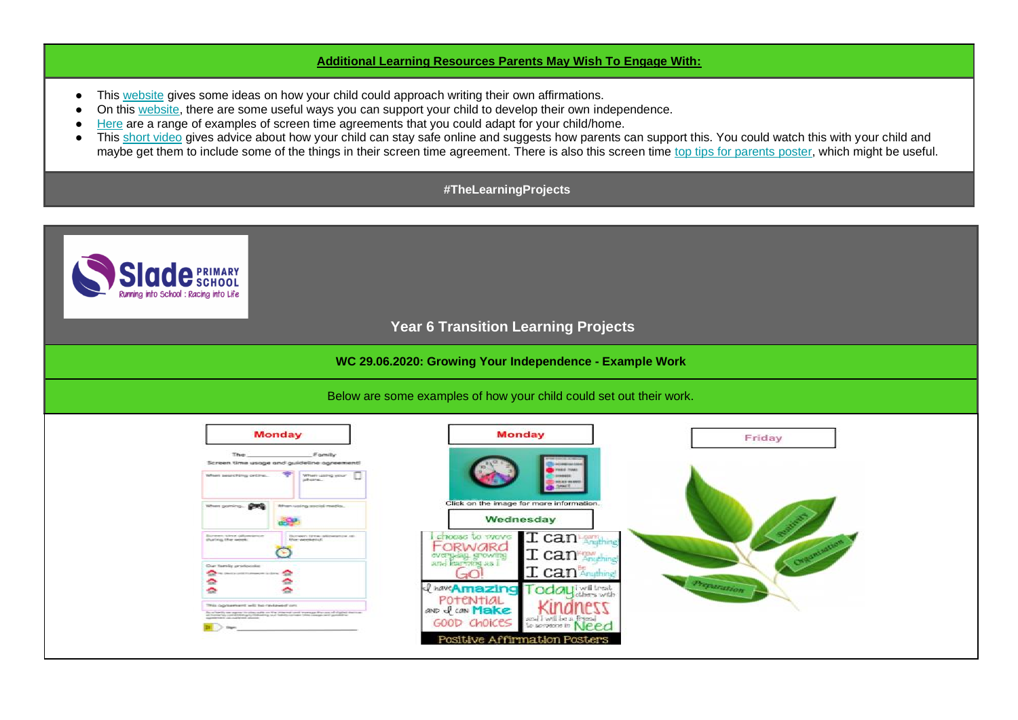### **Additional Learning Resources Parents May Wish To Engage With:**

- This [website](https://biglifejournal.com/blogs/blog/7-new-fun-ways-kids-affirmations) gives some ideas on how your child could approach writing their own affirmations.
- On this [website,](https://www.theschoolrun.com/building-childrens-independence) there are some useful ways you can support your child to develop their own independence.
- [Here](https://www.psychologytoday.com/gb/blog/when-kids-call-the-shots/201804/the-best-technology-screen-time-contract-kids) are a range of examples of screen time agreements that you could adapt for your child/home.
- This [short video](https://www.bbc.co.uk/bitesize/articles/zhqbxyc) gives advice about how your child can stay safe online and suggests how parents can support this. You could watch this with your child and maybe get them to include some of the things in their screen time agreement. There is also this screen time [top tips for parents poster,](https://www.fieldingprimary.com/news/detail/screen-time-top-tips-for-parents/) which might be useful.

### **#TheLearningProjects**

## **Year 6 Transition Learning Projects**

### **WC 29.06.2020: Growing Your Independence - Example Work**

### Below are some examples of how your child could set out their work.